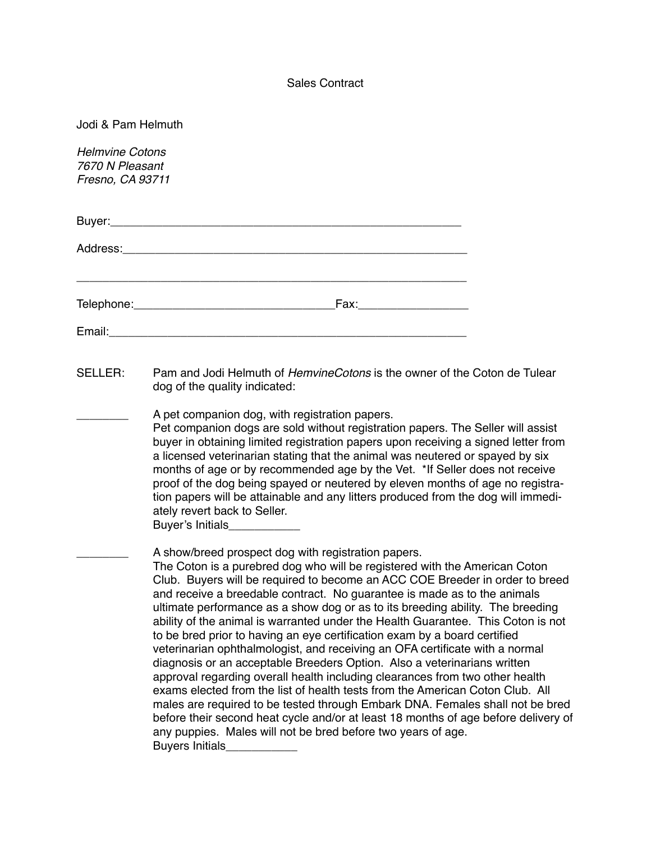## Sales Contract

|  |  | Jodi & Pam Helmuth |  |  |
|--|--|--------------------|--|--|
|--|--|--------------------|--|--|

- SELLER: Pam and Jodi Helmuth of *HemvineCotons* is the owner of the Coton de Tulear dog of the quality indicated:
	- A pet companion dog, with registration papers.

Pet companion dogs are sold without registration papers. The Seller will assist buyer in obtaining limited registration papers upon receiving a signed letter from a licensed veterinarian stating that the animal was neutered or spayed by six months of age or by recommended age by the Vet. \*If Seller does not receive proof of the dog being spayed or neutered by eleven months of age no registration papers will be attainable and any litters produced from the dog will immediately revert back to Seller. Buyer's Initials\_\_\_\_\_\_\_\_\_\_\_

A show/breed prospect dog with registration papers. The Coton is a purebred dog who will be registered with the American Coton Club. Buyers will be required to become an ACC COE Breeder in order to breed and receive a breedable contract. No guarantee is made as to the animals ultimate performance as a show dog or as to its breeding ability. The breeding ability of the animal is warranted under the Health Guarantee. This Coton is not to be bred prior to having an eye certification exam by a board certified veterinarian ophthalmologist, and receiving an OFA certificate with a normal diagnosis or an acceptable Breeders Option. Also a veterinarians written approval regarding overall health including clearances from two other health exams elected from the list of health tests from the American Coton Club. All males are required to be tested through Embark DNA. Females shall not be bred before their second heat cycle and/or at least 18 months of age before delivery of any puppies. Males will not be bred before two years of age. Buyers Initials\_\_\_\_\_\_\_\_\_\_\_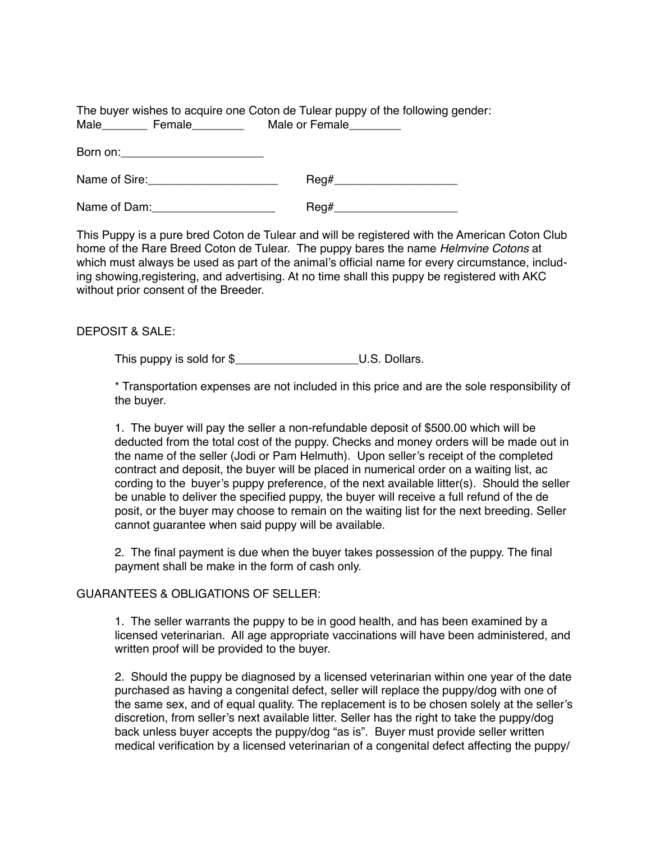The buyer wishes to acquire one Coton de Tulear puppy of the following gender: Male Female Male or Female

Born on:

| Name of Sire: |  |
|---------------|--|
|---------------|--|

Name of Dam: example and  $\text{Req#}$ 

This Puppy is a pure bred Coton de Tulear and will be registered with the American Coton Club home of the Rare Breed Coton de Tulear. The puppy bares the name *Helmvine Cotons* at which must always be used as part of the animal's official name for every circumstance, including showing,registering, and advertising. At no time shall this puppy be registered with AKC without prior consent of the Breeder.

DEPOSIT & SALE:

This puppy is sold for \$ <br> U.S. Dollars.

\* Transportation expenses are not included in this price and are the sole responsibility of the buyer.

1. The buyer will pay the seller a non-refundable deposit of \$500.00 which will be deducted from the total cost of the puppy. Checks and money orders will be made out in the name of the seller (Jodi or Pam Helmuth). Upon seller's receipt of the completed contract and deposit, the buyer will be placed in numerical order on a waiting list, ac cording to the buyer's puppy preference, of the next available litter(s). Should the seller be unable to deliver the specified puppy, the buyer will receive a full refund of the de posit, or the buyer may choose to remain on the waiting list for the next breeding. Seller cannot guarantee when said puppy will be available.

2. The final payment is due when the buyer takes possession of the puppy. The final payment shall be make in the form of cash only.

## GUARANTEES & OBLIGATIONS OF SELLER:

1. The seller warrants the puppy to be in good health, and has been examined by a licensed veterinarian. All age appropriate vaccinations will have been administered, and written proof will be provided to the buyer.

2. Should the puppy be diagnosed by a licensed veterinarian within one year of the date purchased as having a congenital defect, seller will replace the puppy/dog with one of the same sex, and of equal quality. The replacement is to be chosen solely at the seller's discretion, from seller's next available litter. Seller has the right to take the puppy/dog back unless buyer accepts the puppy/dog "as is". Buyer must provide seller written medical verification by a licensed veterinarian of a congenital defect affecting the puppy/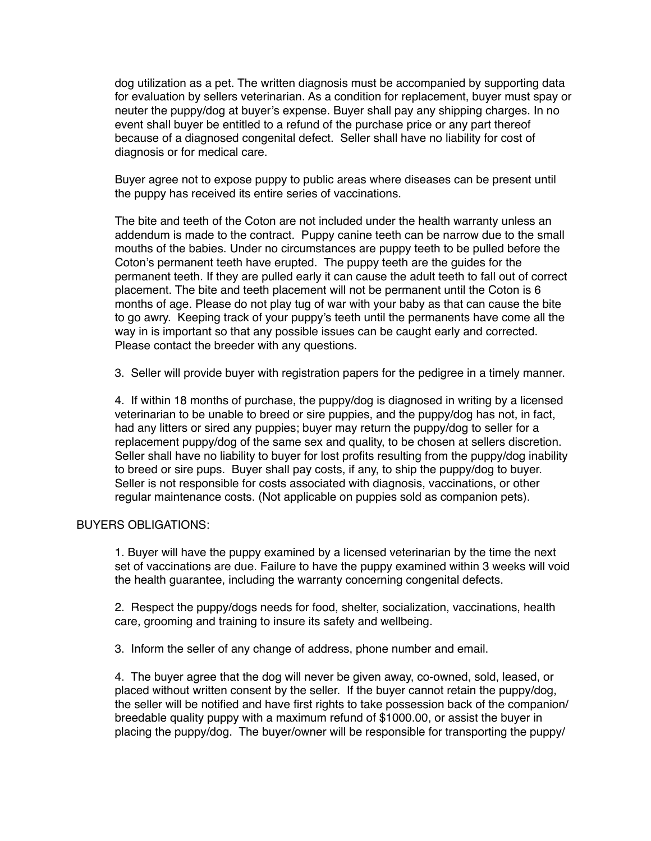dog utilization as a pet. The written diagnosis must be accompanied by supporting data for evaluation by sellers veterinarian. As a condition for replacement, buyer must spay or neuter the puppy/dog at buyer's expense. Buyer shall pay any shipping charges. In no event shall buyer be entitled to a refund of the purchase price or any part thereof because of a diagnosed congenital defect. Seller shall have no liability for cost of diagnosis or for medical care.

Buyer agree not to expose puppy to public areas where diseases can be present until the puppy has received its entire series of vaccinations.

The bite and teeth of the Coton are not included under the health warranty unless an addendum is made to the contract. Puppy canine teeth can be narrow due to the small mouths of the babies. Under no circumstances are puppy teeth to be pulled before the Coton's permanent teeth have erupted. The puppy teeth are the guides for the permanent teeth. If they are pulled early it can cause the adult teeth to fall out of correct placement. The bite and teeth placement will not be permanent until the Coton is 6 months of age. Please do not play tug of war with your baby as that can cause the bite to go awry. Keeping track of your puppy's teeth until the permanents have come all the way in is important so that any possible issues can be caught early and corrected. Please contact the breeder with any questions.

3. Seller will provide buyer with registration papers for the pedigree in a timely manner.

4. If within 18 months of purchase, the puppy/dog is diagnosed in writing by a licensed veterinarian to be unable to breed or sire puppies, and the puppy/dog has not, in fact, had any litters or sired any puppies; buyer may return the puppy/dog to seller for a replacement puppy/dog of the same sex and quality, to be chosen at sellers discretion. Seller shall have no liability to buyer for lost profits resulting from the puppy/dog inability to breed or sire pups. Buyer shall pay costs, if any, to ship the puppy/dog to buyer. Seller is not responsible for costs associated with diagnosis, vaccinations, or other regular maintenance costs. (Not applicable on puppies sold as companion pets).

## BUYERS OBLIGATIONS:

1. Buyer will have the puppy examined by a licensed veterinarian by the time the next set of vaccinations are due. Failure to have the puppy examined within 3 weeks will void the health guarantee, including the warranty concerning congenital defects.

2. Respect the puppy/dogs needs for food, shelter, socialization, vaccinations, health care, grooming and training to insure its safety and wellbeing.

3. Inform the seller of any change of address, phone number and email.

4. The buyer agree that the dog will never be given away, co-owned, sold, leased, or placed without written consent by the seller. If the buyer cannot retain the puppy/dog, the seller will be notified and have first rights to take possession back of the companion/ breedable quality puppy with a maximum refund of \$1000.00, or assist the buyer in placing the puppy/dog. The buyer/owner will be responsible for transporting the puppy/